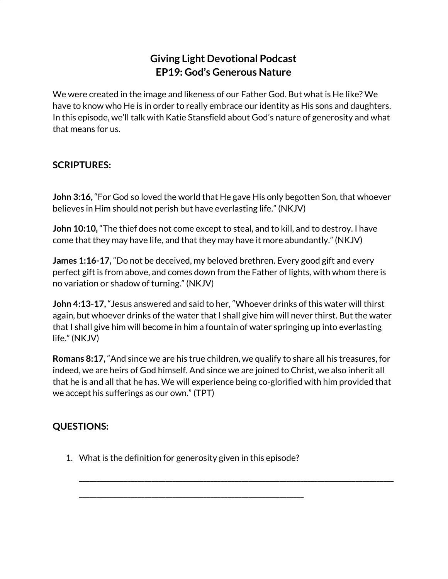## **Giving Light Devotional Podcast EP19: God's Generous Nature**

We were created in the image and likeness of our Father God. But what is He like? We have to know who He is in order to really embrace our identity as His sons and daughters. In this episode, we'll talk with Katie Stansfield about God's nature of generosity and what that means for us.

## **SCRIPTURES:**

**John 3:16,** "For God so loved the world that He gave His only begotten Son, that whoever believes in Him should not perish but have everlasting life." (NKJV)

**John 10:10,** "The thief does not come except to steal, and to kill, and to destroy. I have come that they may have life, and that they may have it more abundantly." (NKJV)

**James 1:16-17,** "Do not be deceived, my beloved brethren. Every good gift and every perfect gift is from above, and comes down from the Father of lights, with whom there is no variation or shadow of turning." (NKJV)

**John 4:13-17,** "Jesus answered and said to her, "Whoever drinks of this water will thirst again, but whoever drinks of the water that I shall give him will never thirst. But the water that I shall give him will become in him a fountain of water springing up into everlasting life." (NKJV)

**Romans 8:17,** "And since we are his true children, we qualify to share all his treasures, for indeed, we are heirs of God himself. And since we are joined to Christ, we also inherit all that he is and all that he has. We will experience being co-glorified with him provided that we accept his sufferings as our own." (TPT)

\_\_\_\_\_\_\_\_\_\_\_\_\_\_\_\_\_\_\_\_\_\_\_\_\_\_\_\_\_\_\_\_\_\_\_\_\_\_\_\_\_\_\_\_\_\_\_\_\_\_\_\_\_\_\_\_\_\_\_\_\_\_\_\_\_\_\_\_\_\_\_\_\_\_\_\_\_\_\_\_\_\_\_\_\_\_\_\_\_\_\_

## **QUESTIONS:**

1. What is the definition for generosity given in this episode?

\_\_\_\_\_\_\_\_\_\_\_\_\_\_\_\_\_\_\_\_\_\_\_\_\_\_\_\_\_\_\_\_\_\_\_\_\_\_\_\_\_\_\_\_\_\_\_\_\_\_\_\_\_\_\_\_\_\_\_\_\_\_\_\_\_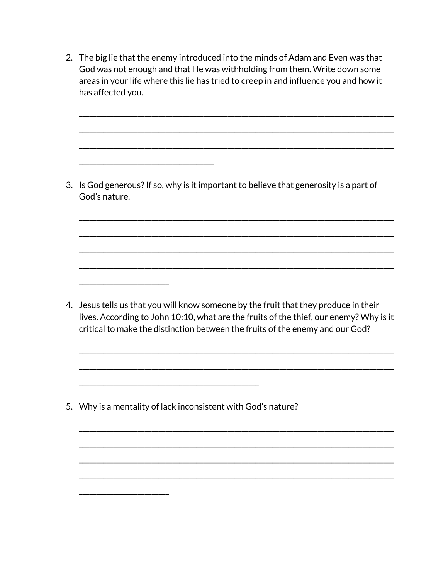2. The big lie that the enemy introduced into the minds of Adam and Even was that God was not enough and that He was withholding from them. Write down some areas in your life where this lie has tried to creep in and influence you and how it has affected you.

3. Is God generous? If so, why is it important to believe that generosity is a part of God's nature.

4. Jesus tells us that you will know someone by the fruit that they produce in their lives. According to John 10:10, what are the fruits of the thief, our enemy? Why is it critical to make the distinction between the fruits of the enemy and our God?

5. Why is a mentality of lack inconsistent with God's nature?